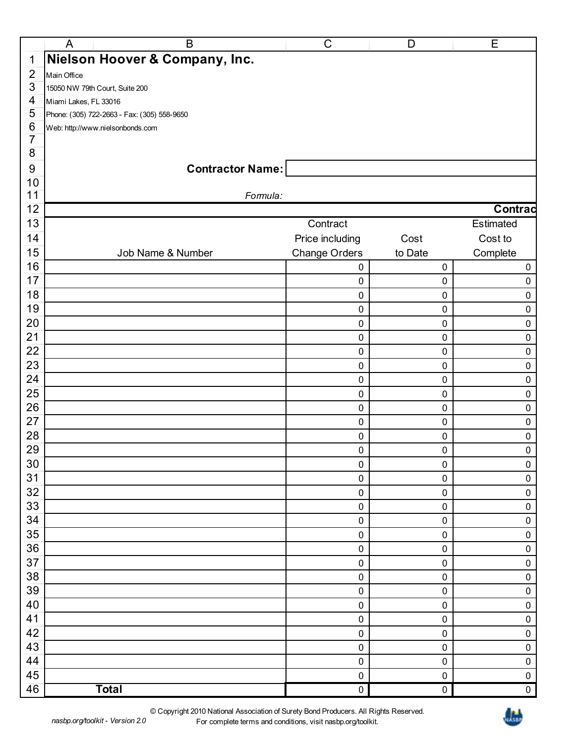|                | $\mathsf{A}$<br>B                           | $\mathsf C$          | D       | Ε              |  |
|----------------|---------------------------------------------|----------------------|---------|----------------|--|
| 1              | Nielson Hoover & Company, Inc.              |                      |         |                |  |
| $\overline{2}$ | Main Office                                 |                      |         |                |  |
| 3              | 15050 NW 79th Court, Suite 200              |                      |         |                |  |
| 4              | Miami Lakes, FL 33016                       |                      |         |                |  |
| 5              | Phone: (305) 722-2663 - Fax: (305) 558-9650 |                      |         |                |  |
| 6              | Web: http://www.nielsonbonds.com            |                      |         |                |  |
| $\overline{7}$ |                                             |                      |         |                |  |
| 8              |                                             |                      |         |                |  |
| $9\,$          | <b>Contractor Name:</b>                     |                      |         |                |  |
| 10             |                                             |                      |         |                |  |
| 11             | Formula:                                    |                      |         |                |  |
| 12             |                                             |                      |         | <b>Contrac</b> |  |
| 13             |                                             | Contract             |         | Estimated      |  |
| 14             |                                             | Price including      | Cost    | Cost to        |  |
| 15             | Job Name & Number                           | <b>Change Orders</b> | to Date | Complete       |  |
| 16             |                                             | $\pmb{0}$            | 0       | $\mathbf 0$    |  |
| 17             |                                             | 0                    | 0       | 0              |  |
| 18             |                                             | 0                    | 0       | 0              |  |
| 19             |                                             | 0                    | 0       | 0              |  |
| 20             |                                             | 0                    | 0       | 0              |  |
| 21             |                                             | $\pmb{0}$            | 0       | 0              |  |
| 22             |                                             | $\pmb{0}$            | 0       | 0              |  |
| 23             |                                             | $\pmb{0}$            | 0       | 0              |  |
| 24             |                                             | 0                    | 0       | 0              |  |
| 25             |                                             | $\pmb{0}$            | 0       | 0              |  |
| 26             |                                             | $\pmb{0}$            | 0       | 0              |  |
| 27             |                                             | $\pmb{0}$            | 0       | 0              |  |
| 28             |                                             | 0                    | 0       | 0              |  |
| 29             |                                             | 0                    | 0       | 0              |  |
| 30             |                                             | $\pmb{0}$            | 0       | 0              |  |
| 31             |                                             | 0                    | 0       | 0              |  |
| 32             |                                             | $\pmb{0}$            | 0       | $\pmb{0}$      |  |
| 33             |                                             | 0                    | 0       | $\pmb{0}$      |  |
| 34             |                                             | 0                    | 0       | 0              |  |
| 35             |                                             | 0                    | 0       | 0              |  |
| 36             |                                             | 0                    | 0       | $\pmb{0}$      |  |
| 37             |                                             | $\pmb{0}$            | 0       | $\pmb{0}$      |  |
| 38             |                                             | 0                    | 0       | 0              |  |
| 39             |                                             | 0                    | 0       | 0              |  |
| 40             |                                             | $\pmb{0}$            | 0       | $\pmb{0}$      |  |
| 41             |                                             | 0                    | 0       | $\pmb{0}$      |  |
| 42             |                                             | 0                    | 0       | 0              |  |
| 43             |                                             | 0                    | 0       | 0              |  |
| 44             |                                             | $\pmb{0}$            | 0       | $\pmb{0}$      |  |
| 45             |                                             | 0                    | 0       | $\pmb{0}$      |  |
| 46             | <b>Total</b>                                | 0                    | 0       | $\pmb{0}$      |  |

*nasbp.org/toolkit - Version 2.0*

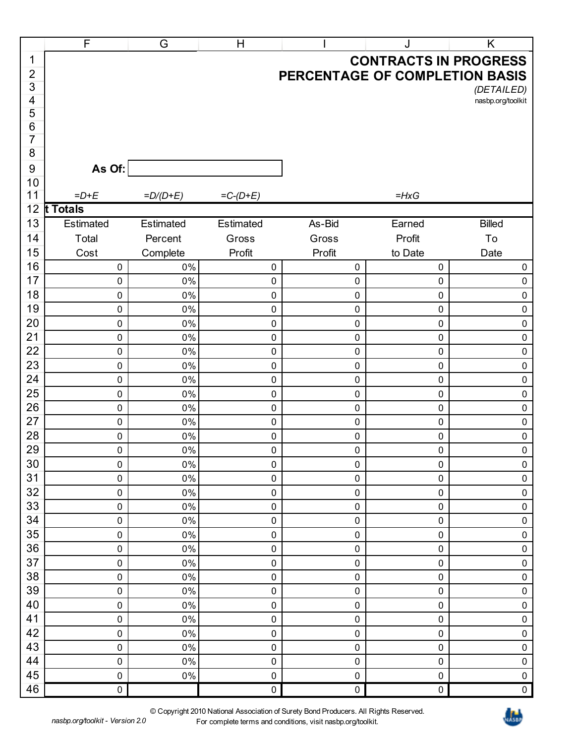|                | $\mathsf{F}$           | G           | H           |                                | J                             | Κ                             |
|----------------|------------------------|-------------|-------------|--------------------------------|-------------------------------|-------------------------------|
| 1              |                        |             |             |                                | <b>CONTRACTS IN PROGRESS</b>  |                               |
| $\overline{c}$ |                        |             |             | PERCENTAGE OF COMPLETION BASIS |                               |                               |
| 3              |                        |             |             |                                |                               | (DETAILED)                    |
| 4              |                        |             |             |                                |                               | nasbp.org/toolkit             |
| 5              |                        |             |             |                                |                               |                               |
| 6<br>7         |                        |             |             |                                |                               |                               |
| 8              |                        |             |             |                                |                               |                               |
| 9              | As Of:                 |             |             |                                |                               |                               |
| 10             |                        |             |             |                                |                               |                               |
| 11             | $=D+E$                 | $=D/(D+E)$  | $=C-(D+E)$  |                                | $=HxG$                        |                               |
| 12             | t Totals               |             |             |                                |                               |                               |
| 13             | Estimated              | Estimated   | Estimated   | As-Bid                         | Earned                        | <b>Billed</b>                 |
| 14             | Total                  | Percent     | Gross       | Gross                          | Profit                        | To                            |
| 15             | Cost                   | Complete    | Profit      | Profit                         | to Date                       | Date                          |
| 16             | $\pmb{0}$              | 0%          | 0           | 0                              | 0                             | 0                             |
| 17             | $\pmb{0}$              | $0\%$       | 0           | 0                              | 0                             | $\boldsymbol{0}$              |
| 18             | $\pmb{0}$              | 0%          | 0           | 0                              | $\mathbf 0$                   | $\mathbf 0$                   |
| 19             | $\pmb{0}$              | 0%          | 0           | 0                              | $\mathbf 0$                   | $\boldsymbol{0}$              |
| 20             | $\pmb{0}$              | 0%          | 0           | 0                              | $\mathbf 0$                   | $\boldsymbol{0}$              |
| 21             | $\pmb{0}$              | 0%          | 0           | 0                              | $\mathbf 0$                   | $\mathbf 0$                   |
| 22             | $\pmb{0}$              | 0%          | 0           | 0                              | $\mathbf 0$                   | $\mathbf 0$                   |
| 23             | $\pmb{0}$              | 0%          | 0           | 0                              | $\mathbf 0$                   | 0                             |
| 24<br>25       | $\pmb{0}$              | 0%          | 0           | 0                              | $\mathbf 0$                   | $\boldsymbol{0}$              |
| 26             | $\pmb{0}$<br>$\pmb{0}$ | 0%<br>0%    | 0<br>0      | 0<br>0                         | $\mathbf 0$<br>$\mathbf 0$    | $\mathbf 0$<br>$\mathbf 0$    |
| 27             | $\pmb{0}$              | 0%          | 0           | 0                              | $\mathbf 0$                   | 0                             |
| 28             | $\pmb{0}$              | 0%          | 0           | 0                              | $\mathbf 0$                   | $\pmb{0}$                     |
| 29             | $\pmb{0}$              | 0%          | 0           | 0                              | $\mathbf 0$                   | $\pmb{0}$                     |
| 30             | 0                      | 0%          | 0           | $\pmb{0}$                      | $\pmb{0}$                     | $\pmb{0}$                     |
| 31             | $\pmb{0}$              | $0\%$       | 0           | 0                              | $\pmb{0}$                     | $\pmb{0}$                     |
| 32             | $\pmb{0}$              | $0\%$       | 0           | $\pmb{0}$                      | $\pmb{0}$                     | $\pmb{0}$                     |
| 33             | $\pmb{0}$              | 0%          | 0           | 0                              | $\pmb{0}$                     | $\boldsymbol{0}$              |
| 34             | $\pmb{0}$              | $0\%$       | 0           | $\pmb{0}$                      | $\pmb{0}$                     | $\pmb{0}$                     |
| 35             | $\pmb{0}$              | $0\%$       | 0           | 0                              | $\pmb{0}$                     | $\boldsymbol{0}$              |
| 36             | $\pmb{0}$              | $0\%$       | 0           | $\pmb{0}$                      | $\pmb{0}$                     | $\pmb{0}$                     |
| 37             | $\pmb{0}$              | 0%          | 0           | 0                              | $\pmb{0}$                     | $\boldsymbol{0}$              |
| 38             | $\pmb{0}$              | 0%          | 0           | $\pmb{0}$                      | $\pmb{0}$                     | $\pmb{0}$                     |
| 39             | $\pmb{0}$              | $0\%$       | 0           | 0                              | $\pmb{0}$                     | $\boldsymbol{0}$              |
| 40             | $\pmb{0}$              | $0\%$       | 0           | $\pmb{0}$                      | $\pmb{0}$                     | $\mathbf 0$                   |
| 41             | $\pmb{0}$              | 0%          | 0           | 0                              | $\pmb{0}$                     | $\boldsymbol{0}$              |
| 42<br>43       | $\boldsymbol{0}$       | $0\%$       | 0           | $\pmb{0}$                      | $\boldsymbol{0}$              | $\mathbf 0$                   |
| 44             | $\pmb{0}$<br>$\pmb{0}$ | $0\%$<br>0% | 0<br>0      | 0<br>$\pmb{0}$                 | $\boldsymbol{0}$<br>$\pmb{0}$ | $\boldsymbol{0}$<br>$\pmb{0}$ |
| 45             | $\boldsymbol{0}$       | $0\%$       | 0           | 0                              | $\pmb{0}$                     | $\boldsymbol{0}$              |
| 46             | $\boldsymbol{0}$       |             | $\mathbf 0$ | $\pmb{0}$                      | $\boldsymbol{0}$              | $\pmb{0}$                     |
|                |                        |             |             |                                |                               |                               |

© Copyright 2010 National Association of Surety Bond Producers. All Rights Reserved. For complete terms and conditions, visit nasbp.org/toolkit.

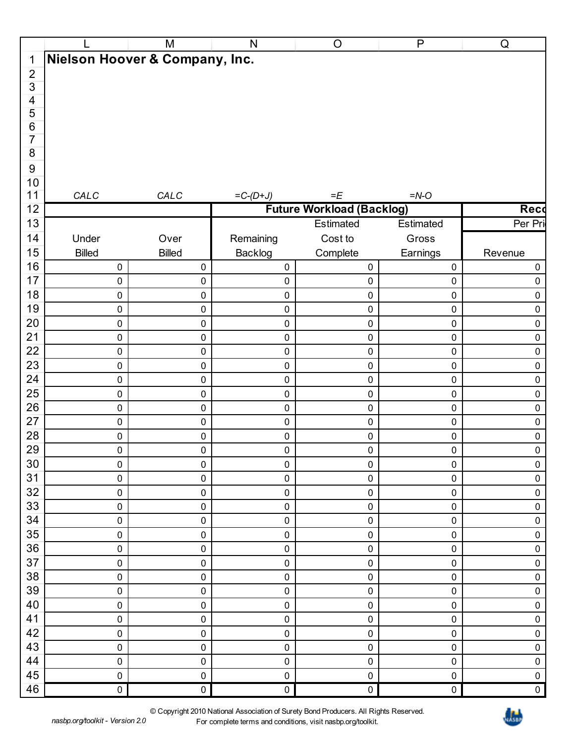|                    |                                | M                   | ${\sf N}$  | $\mathsf O$                      | $\mathsf{P}$     | ${\sf Q}$        |
|--------------------|--------------------------------|---------------------|------------|----------------------------------|------------------|------------------|
| $\mathbf{1}$       | Nielson Hoover & Company, Inc. |                     |            |                                  |                  |                  |
| $\overline{2}$     |                                |                     |            |                                  |                  |                  |
| $\overline{3}$     |                                |                     |            |                                  |                  |                  |
| $\overline{4}$     |                                |                     |            |                                  |                  |                  |
| 5                  |                                |                     |            |                                  |                  |                  |
| $\,6$              |                                |                     |            |                                  |                  |                  |
| $\overline{7}$     |                                |                     |            |                                  |                  |                  |
| $\overline{\bf 8}$ |                                |                     |            |                                  |                  |                  |
| 9                  |                                |                     |            |                                  |                  |                  |
| $10$               |                                |                     |            |                                  |                  |                  |
| 11                 | CALC                           | CALC                | $=C-(D+J)$ | $=E$                             | $=N-O$           |                  |
| 12                 |                                |                     |            | <b>Future Workload (Backlog)</b> |                  | Reco             |
| 13                 |                                |                     |            | Estimated                        | Estimated        | Per Pri          |
| 14                 | Under                          | Over                | Remaining  | Cost to                          | Gross            |                  |
| 15                 | <b>Billed</b>                  | <b>Billed</b>       | Backlog    | Complete                         | Earnings         | Revenue          |
| 16                 | $\mathbf 0$                    | $\overline{0}$      | $\pmb{0}$  | $\mathbf{0}$                     | $\pmb{0}$        | $\boldsymbol{0}$ |
| 17                 | $\mathbf 0$                    | $\mathbf 0$         | $\pmb{0}$  | 0                                | $\pmb{0}$        | $\mathbf 0$      |
| 18                 | $\boldsymbol{0}$               | $\pmb{0}$           | $\pmb{0}$  | $\mathbf 0$                      | $\pmb{0}$        | $\pmb{0}$        |
| 19                 |                                | $\mathbf 0$         |            |                                  |                  |                  |
| 20                 | $\boldsymbol{0}$               |                     | $\pmb{0}$  | 0                                | $\pmb{0}$        | $\pmb{0}$        |
|                    | $\mathbf 0$                    | $\pmb{0}$           | $\pmb{0}$  | 0                                | $\pmb{0}$        | $\pmb{0}$        |
| 21                 | $\boldsymbol{0}$               | $\mathbf 0$         | $\pmb{0}$  | 0                                | $\pmb{0}$        | $\pmb{0}$        |
| 22                 | $\pmb{0}$                      | $\pmb{0}$           | $\pmb{0}$  | 0                                | $\pmb{0}$        | $\pmb{0}$        |
| 23                 | $\boldsymbol{0}$               | $\mathbf 0$         | $\pmb{0}$  | 0                                | $\pmb{0}$        | $\pmb{0}$        |
| 24                 | $\mathbf 0$                    | $\mathbf 0$         | $\pmb{0}$  | 0                                | $\pmb{0}$        | $\pmb{0}$        |
| 25                 | $\boldsymbol{0}$               | $\mathbf 0$         | $\pmb{0}$  | 0                                | $\pmb{0}$        | $\pmb{0}$        |
| 26                 | $\boldsymbol{0}$               | $\mathbf 0$         | $\pmb{0}$  | $\mathbf 0$                      | $\pmb{0}$        | $\pmb{0}$        |
| 27                 | $\boldsymbol{0}$               | $\mathbf 0$         | $\pmb{0}$  | 0                                | $\pmb{0}$        | $\pmb{0}$        |
| 28                 | $\boldsymbol{0}$               | $\mathbf 0$         | $\pmb{0}$  | 0                                | $\pmb{0}$        | $\pmb{0}$        |
| 29                 | $\overline{0}$                 | $\mathbf 0$         | $\pmb{0}$  | $\mathbf 0$                      | $\pmb{0}$        | $\pmb{0}$        |
| $30\,$             | $\mathbf 0$                    | $\mathbf 0$         | $\pmb{0}$  | $\mathbf 0$                      | $\mathbf 0$      | $\pmb{0}$        |
| 31                 | $\boldsymbol{0}$               | $\mathbf 0$         | $\pmb{0}$  | $\mathbf 0$                      | $\boldsymbol{0}$ | $\pmb{0}$        |
| 32                 | $\mathbf 0$                    | $\mathbf 0$         | $\pmb{0}$  | $\mathbf 0$                      | $\pmb{0}$        | $\pmb{0}$        |
| 33                 | $\boldsymbol{0}$               | $\mathbf 0$         | $\pmb{0}$  | $\mathbf 0$                      | $\pmb{0}$        | $\pmb{0}$        |
| 34                 | $\mathbf 0$                    | $\mathbf 0$         | $\pmb{0}$  | $\mathbf 0$                      | $\pmb{0}$        | $\pmb{0}$        |
| 35                 | $\boldsymbol{0}$               | $\mathsf{O}\xspace$ | $\pmb{0}$  | 0                                | $\boldsymbol{0}$ | $\pmb{0}$        |
| 36                 | $\boldsymbol{0}$               | $\boldsymbol{0}$    | $\pmb{0}$  | $\mathbf 0$                      | $\pmb{0}$        | $\pmb{0}$        |
| 37                 | $\mathbf 0$                    | $\boldsymbol{0}$    | $\pmb{0}$  | $\mathbf 0$                      | $\pmb{0}$        | $\pmb{0}$        |
| 38                 | $\boldsymbol{0}$               | $\boldsymbol{0}$    | $\pmb{0}$  | $\mathbf 0$                      | $\pmb{0}$        | $\pmb{0}$        |
| 39                 | $\boldsymbol{0}$               | $\mathsf{O}\xspace$ | $\pmb{0}$  | $\mathbf 0$                      | $\pmb{0}$        | $\pmb{0}$        |
| 40                 | $\mathbf 0$                    | $\boldsymbol{0}$    | $\pmb{0}$  | $\mathbf 0$                      | $\pmb{0}$        | $\pmb{0}$        |
| 41                 | $\boldsymbol{0}$               | $\mathbf 0$         | $\pmb{0}$  | $\mathbf 0$                      | $\pmb{0}$        | $\pmb{0}$        |
| 42                 | $\mathbf 0$                    | $\mathbf 0$         | $\pmb{0}$  | $\mathbf 0$                      | $\pmb{0}$        | $\pmb{0}$        |
| 43                 | $\boldsymbol{0}$               | $\mathbf 0$         | $\pmb{0}$  | $\mathbf 0$                      | $\boldsymbol{0}$ | $\pmb{0}$        |
| 44                 | $\mathbf 0$                    | $\mathbf 0$         | $\pmb{0}$  | $\mathbf 0$                      | $\pmb{0}$        | $\pmb{0}$        |
| 45                 | $\boldsymbol{0}$               | $\mathbf 0$         | $\pmb{0}$  | 0                                | $\pmb{0}$        | $\pmb{0}$        |
| 46                 | $\overline{\phantom{0}}$       | $\mathbf 0$         | $\pmb{0}$  | $\overline{0}$                   | $\overline{0}$   | $\pmb{0}$        |
|                    |                                |                     |            |                                  |                  |                  |

© Copyright 2010 National Association of Surety Bond Producers. All Rights Reserved. For complete terms and conditions, visit nasbp.org/toolkit.